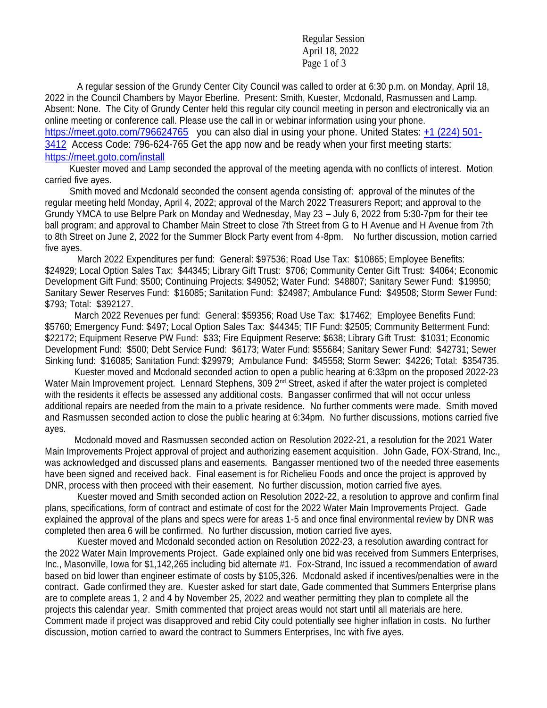Regular Session April 18, 2022 Page 1 of 3

A regular session of the Grundy Center City Council was called to order at 6:30 p.m. on Monday, April 18, 2022 in the Council Chambers by Mayor Eberline. Present: Smith, Kuester, Mcdonald, Rasmussen and Lamp. Absent: None. The City of Grundy Center held this regular city council meeting in person and electronically via an online meeting or conference call. Please use the call in or webinar information using your phone. <https://meet.goto.com/796624765>you can also dial in using your phone. United States: [+1 \(224\) 501-](tel:+12245013412,,796624765) [3412](tel:+12245013412,,796624765) Access Code: 796-624-765 Get the app now and be ready when your first meeting starts: <https://meet.goto.com/install>

 Kuester moved and Lamp seconded the approval of the meeting agenda with no conflicts of interest. Motion carried five ayes.

 Smith moved and Mcdonald seconded the consent agenda consisting of: approval of the minutes of the regular meeting held Monday, April 4, 2022; approval of the March 2022 Treasurers Report; and approval to the Grundy YMCA to use Belpre Park on Monday and Wednesday, May 23 – July 6, 2022 from 5:30-7pm for their tee ball program; and approval to Chamber Main Street to close 7th Street from G to H Avenue and H Avenue from 7th to 8th Street on June 2, 2022 for the Summer Block Party event from 4-8pm. No further discussion, motion carried five ayes.

March 2022 Expenditures per fund: General: \$97536; Road Use Tax: \$10865; Employee Benefits: \$24929; Local Option Sales Tax: \$44345; Library Gift Trust: \$706; Community Center Gift Trust: \$4064; Economic Development Gift Fund: \$500; Continuing Projects: \$49052; Water Fund: \$48807; Sanitary Sewer Fund: \$19950; Sanitary Sewer Reserves Fund: \$16085; Sanitation Fund: \$24987; Ambulance Fund: \$49508; Storm Sewer Fund: \$793; Total: \$392127.

 March 2022 Revenues per fund: General: \$59356; Road Use Tax: \$17462; Employee Benefits Fund: \$5760; Emergency Fund: \$497; Local Option Sales Tax: \$44345; TIF Fund: \$2505; Community Betterment Fund: \$22172; Equipment Reserve PW Fund: \$33; Fire Equipment Reserve: \$638; Library Gift Trust: \$1031; Economic Development Fund: \$500; Debt Service Fund: \$6173; Water Fund: \$55684; Sanitary Sewer Fund: \$42731; Sewer Sinking fund: \$16085; Sanitation Fund: \$29979; Ambulance Fund: \$45558; Storm Sewer: \$4226; Total: \$354735.

 Kuester moved and Mcdonald seconded action to open a public hearing at 6:33pm on the proposed 2022-23 Water Main Improvement project. Lennard Stephens, 309 2<sup>nd</sup> Street, asked if after the water project is completed with the residents it effects be assessed any additional costs. Bangasser confirmed that will not occur unless additional repairs are needed from the main to a private residence. No further comments were made. Smith moved and Rasmussen seconded action to close the public hearing at 6:34pm. No further discussions, motions carried five ayes.

 Mcdonald moved and Rasmussen seconded action on Resolution 2022-21, a resolution for the 2021 Water Main Improvements Project approval of project and authorizing easement acquisition. John Gade, FOX-Strand, Inc., was acknowledged and discussed plans and easements. Bangasser mentioned two of the needed three easements have been signed and received back. Final easement is for Richelieu Foods and once the project is approved by DNR, process with then proceed with their easement. No further discussion, motion carried five ayes.

Kuester moved and Smith seconded action on Resolution 2022-22, a resolution to approve and confirm final plans, specifications, form of contract and estimate of cost for the 2022 Water Main Improvements Project. Gade explained the approval of the plans and specs were for areas 1-5 and once final environmental review by DNR was completed then area 6 will be confirmed. No further discussion, motion carried five ayes.

Kuester moved and Mcdonald seconded action on Resolution 2022-23, a resolution awarding contract for the 2022 Water Main Improvements Project. Gade explained only one bid was received from Summers Enterprises, Inc., Masonville, Iowa for \$1,142,265 including bid alternate #1. Fox-Strand, Inc issued a recommendation of award based on bid lower than engineer estimate of costs by \$105,326. Mcdonald asked if incentives/penalties were in the contract. Gade confirmed they are. Kuester asked for start date, Gade commented that Summers Enterprise plans are to complete areas 1, 2 and 4 by November 25, 2022 and weather permitting they plan to complete all the projects this calendar year. Smith commented that project areas would not start until all materials are here. Comment made if project was disapproved and rebid City could potentially see higher inflation in costs. No further discussion, motion carried to award the contract to Summers Enterprises, Inc with five ayes.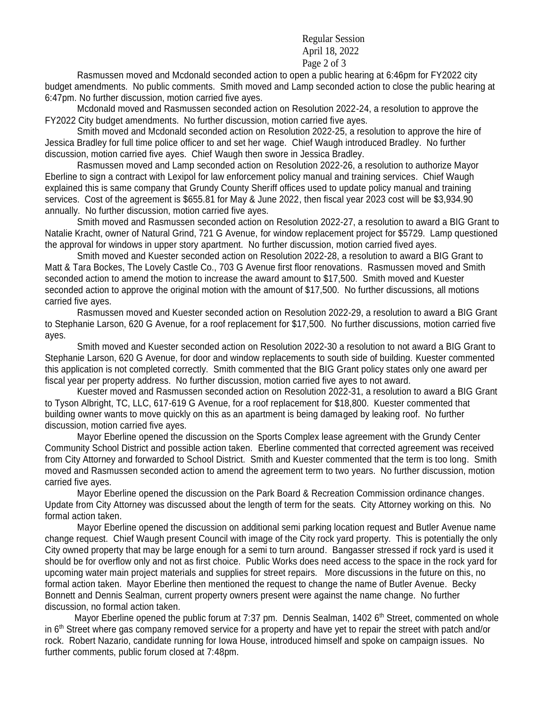## Regular Session April 18, 2022 Page 2 of 3

Rasmussen moved and Mcdonald seconded action to open a public hearing at 6:46pm for FY2022 city budget amendments. No public comments. Smith moved and Lamp seconded action to close the public hearing at 6:47pm. No further discussion, motion carried five ayes.

Mcdonald moved and Rasmussen seconded action on Resolution 2022-24, a resolution to approve the FY2022 City budget amendments. No further discussion, motion carried five ayes.

Smith moved and Mcdonald seconded action on Resolution 2022-25, a resolution to approve the hire of Jessica Bradley for full time police officer to and set her wage. Chief Waugh introduced Bradley. No further discussion, motion carried five ayes. Chief Waugh then swore in Jessica Bradley.

Rasmussen moved and Lamp seconded action on Resolution 2022-26, a resolution to authorize Mayor Eberline to sign a contract with Lexipol for law enforcement policy manual and training services. Chief Waugh explained this is same company that Grundy County Sheriff offices used to update policy manual and training services. Cost of the agreement is \$655.81 for May & June 2022, then fiscal year 2023 cost will be \$3,934.90 annually. No further discussion, motion carried five ayes.

Smith moved and Rasmussen seconded action on Resolution 2022-27, a resolution to award a BIG Grant to Natalie Kracht, owner of Natural Grind, 721 G Avenue, for window replacement project for \$5729. Lamp questioned the approval for windows in upper story apartment. No further discussion, motion carried fived ayes.

Smith moved and Kuester seconded action on Resolution 2022-28, a resolution to award a BIG Grant to Matt & Tara Bockes, The Lovely Castle Co., 703 G Avenue first floor renovations. Rasmussen moved and Smith seconded action to amend the motion to increase the award amount to \$17,500. Smith moved and Kuester seconded action to approve the original motion with the amount of \$17,500. No further discussions, all motions carried five ayes.

Rasmussen moved and Kuester seconded action on Resolution 2022-29, a resolution to award a BIG Grant to Stephanie Larson, 620 G Avenue, for a roof replacement for \$17,500. No further discussions, motion carried five ayes.

Smith moved and Kuester seconded action on Resolution 2022-30 a resolution to not award a BIG Grant to Stephanie Larson, 620 G Avenue, for door and window replacements to south side of building. Kuester commented this application is not completed correctly. Smith commented that the BIG Grant policy states only one award per fiscal year per property address. No further discussion, motion carried five ayes to not award.

Kuester moved and Rasmussen seconded action on Resolution 2022-31, a resolution to award a BIG Grant to Tyson Albright, TC, LLC, 617-619 G Avenue, for a roof replacement for \$18,800. Kuester commented that building owner wants to move quickly on this as an apartment is being damaged by leaking roof. No further discussion, motion carried five ayes.

Mayor Eberline opened the discussion on the Sports Complex lease agreement with the Grundy Center Community School District and possible action taken. Eberline commented that corrected agreement was received from City Attorney and forwarded to School District. Smith and Kuester commented that the term is too long. Smith moved and Rasmussen seconded action to amend the agreement term to two years. No further discussion, motion carried five ayes.

Mayor Eberline opened the discussion on the Park Board & Recreation Commission ordinance changes. Update from City Attorney was discussed about the length of term for the seats. City Attorney working on this. No formal action taken.

Mayor Eberline opened the discussion on additional semi parking location request and Butler Avenue name change request. Chief Waugh present Council with image of the City rock yard property. This is potentially the only City owned property that may be large enough for a semi to turn around. Bangasser stressed if rock yard is used it should be for overflow only and not as first choice. Public Works does need access to the space in the rock yard for upcoming water main project materials and supplies for street repairs. More discussions in the future on this, no formal action taken. Mayor Eberline then mentioned the request to change the name of Butler Avenue. Becky Bonnett and Dennis Sealman, current property owners present were against the name change. No further discussion, no formal action taken.

Mayor Eberline opened the public forum at 7:37 pm. Dennis Sealman, 1402 6<sup>th</sup> Street, commented on whole in  $6<sup>th</sup>$  Street where gas company removed service for a property and have yet to repair the street with patch and/or rock. Robert Nazario, candidate running for Iowa House, introduced himself and spoke on campaign issues. No further comments, public forum closed at 7:48pm.